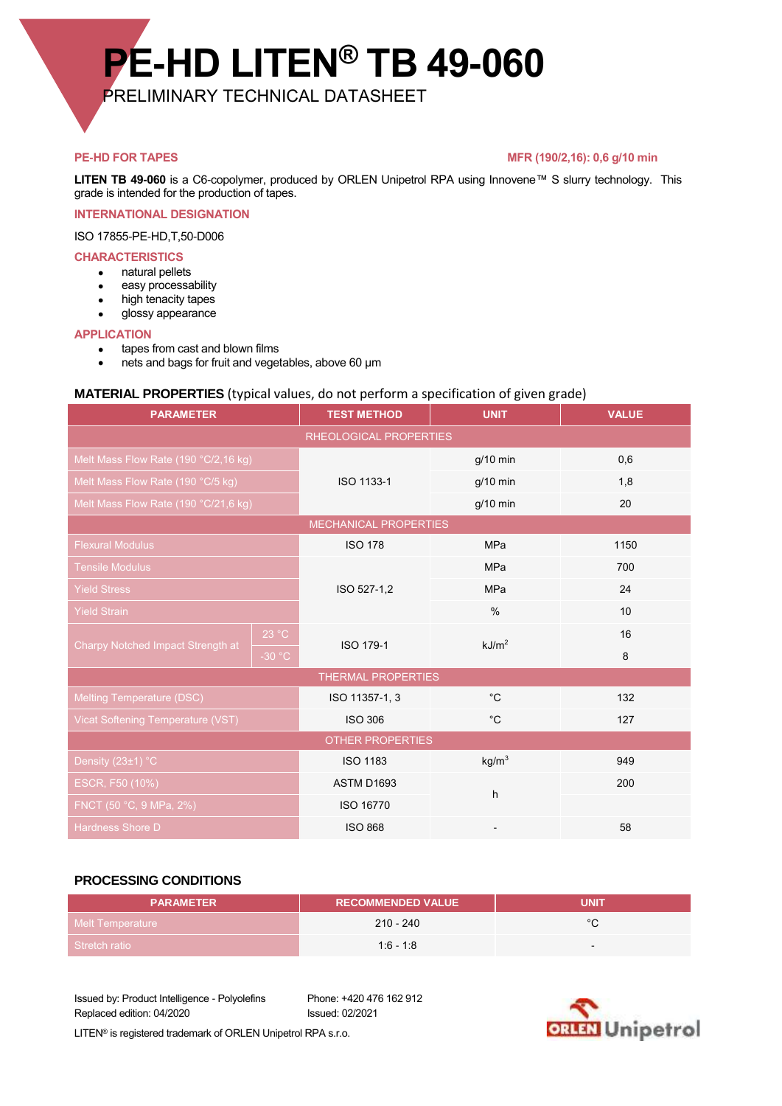# **PE-HD LITEN® TB 49-060**

PRELIMINARY TECHNICAL DATASHEET

#### **PE-HD FOR TAPES** MFR (190/2,16): 0,6 g/10 min

**LITEN TB 49-060** is a C6-copolymer, produced by ORLEN Unipetrol RPA using Innovene™ S slurry technology. This grade is intended for the production of tapes.

#### **INTERNATIONAL DESIGNATION**

ISO 17855-PE-HD,T,50-D006

#### **CHARACTERISTICS**

- natural pellets
- **e** easy processability
- high tenacity tapes
- glossy appearance

#### **APPLICATION**

- tapes from cast and blown films
- nets and bags for fruit and vegetables, above 60 µm

### **MATERIAL PROPERTIES** (typical values, do not perform a specification of given grade)

| <b>PARAMETER</b>                     |          | <b>TEST METHOD</b> | <b>UNIT</b>       | <b>VALUE</b> |  |
|--------------------------------------|----------|--------------------|-------------------|--------------|--|
| RHEOLOGICAL PROPERTIES               |          |                    |                   |              |  |
| Melt Mass Flow Rate (190 °C/2,16 kg) |          | ISO 1133-1         | $g/10$ min        | 0,6          |  |
| Melt Mass Flow Rate (190 °C/5 kg)    |          |                    | $g/10$ min        | 1,8          |  |
| Melt Mass Flow Rate (190 °C/21,6 kg) |          |                    | $g/10$ min        | 20           |  |
| MECHANICAL PROPERTIES                |          |                    |                   |              |  |
| <b>Flexural Modulus</b>              |          | <b>ISO 178</b>     | <b>MPa</b>        | 1150         |  |
| <b>Tensile Modulus</b>               |          | ISO 527-1,2        | <b>MPa</b>        | 700          |  |
| <b>Yield Stress</b>                  |          |                    | <b>MPa</b>        | 24           |  |
| <b>Yield Strain</b>                  |          |                    | $\%$              | 10           |  |
| Charpy Notched Impact Strength at    | 23 °C    | ISO 179-1          | kJ/m <sup>2</sup> | 16           |  |
|                                      | $-30 °C$ |                    |                   | 8            |  |
| THERMAL PROPERTIES                   |          |                    |                   |              |  |
| <b>Melting Temperature (DSC)</b>     |          | ISO 11357-1, 3     | $^{\circ}C$       | 132          |  |
| Vicat Softening Temperature (VST)    |          | <b>ISO 306</b>     | $^{\circ}C$       | 127          |  |
| <b>OTHER PROPERTIES</b>              |          |                    |                   |              |  |
| Density (23±1) °C                    |          | <b>ISO 1183</b>    | kg/m <sup>3</sup> | 949          |  |
| ESCR, F50 (10%)                      |          | <b>ASTM D1693</b>  | h                 | 200          |  |
| FNCT (50 °C, 9 MPa, 2%)              |          | ISO 16770          |                   |              |  |
| <b>Hardness Shore D</b>              |          | <b>ISO 868</b>     |                   | 58           |  |

#### **PROCESSING CONDITIONS**

| <b>PARAMETER</b> | <b>RECOMMENDED VALUE</b> | <b>UNIT</b> |
|------------------|--------------------------|-------------|
| Melt Temperature | $210 - 240$              | $\circ$     |
| Stretch ratio    | $1:6 - 1:8$              | $\sim$      |

Issued by: Product Intelligence - Polyolefins Phone: +420 476 162 912 Replaced edition: 04/2020 Issued: 02/2021



LITEN® is registered trademark of ORLEN Unipetrol RPA s.r.o.